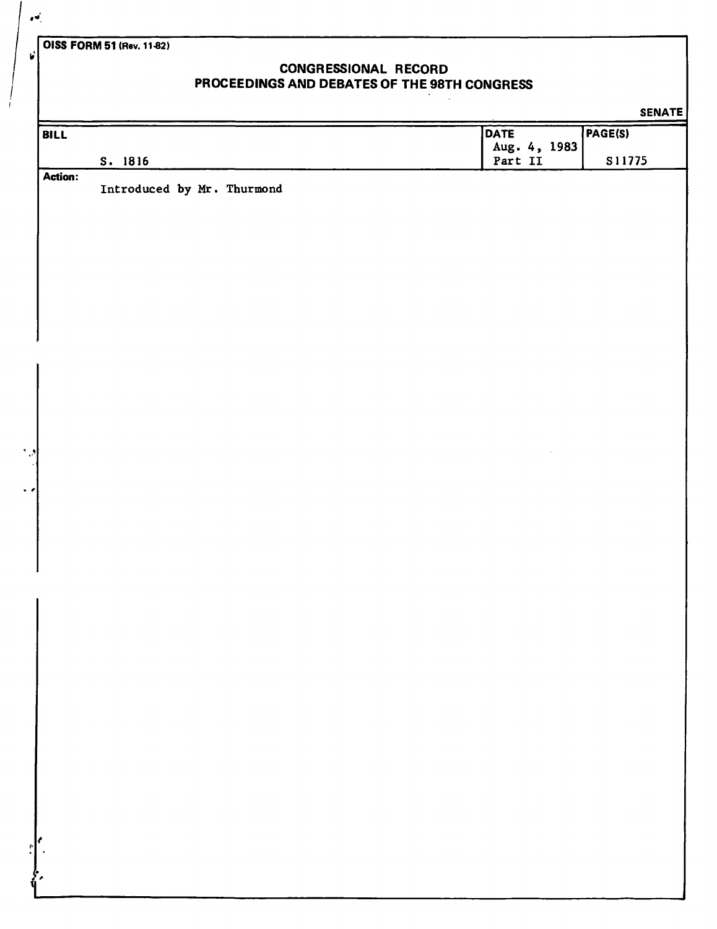**OISS FORM 51 (Rev. 11-82)** 

## **CONGRESSIONAL RECORD PROCEEDINGS AND DEBATES OF THE 98TH CONGRESS**

 $\mathbf{r}$ 

|             |                            |              | <b>SENATE</b> |
|-------------|----------------------------|--------------|---------------|
| BILL        |                            | DATE         | PAGE(S)       |
|             |                            | Aug. 4, 1983 |               |
| Action:     | S. 1816                    | Part II      | S11775        |
|             | Introduced by Mr. Thurmond |              |               |
|             |                            |              |               |
|             |                            |              |               |
|             |                            |              |               |
|             |                            |              |               |
|             |                            |              |               |
|             |                            |              |               |
|             |                            |              |               |
|             |                            |              |               |
|             |                            |              |               |
|             |                            |              |               |
|             |                            |              |               |
|             |                            |              |               |
|             |                            |              |               |
|             |                            |              |               |
|             |                            |              |               |
|             |                            |              |               |
|             |                            |              |               |
|             |                            |              |               |
|             |                            |              |               |
|             |                            |              |               |
| $\mathbf l$ |                            |              |               |
|             |                            |              |               |
|             |                            |              |               |
|             |                            |              |               |
|             |                            |              |               |
|             |                            |              |               |
|             |                            |              |               |
|             |                            |              |               |
|             |                            |              |               |
|             |                            |              |               |
|             |                            |              |               |
|             |                            |              |               |
|             |                            |              |               |
|             |                            |              |               |
| r           |                            |              |               |
|             |                            |              |               |
|             |                            |              |               |
|             |                            |              |               |

 $\mathbf{r}$ 

V